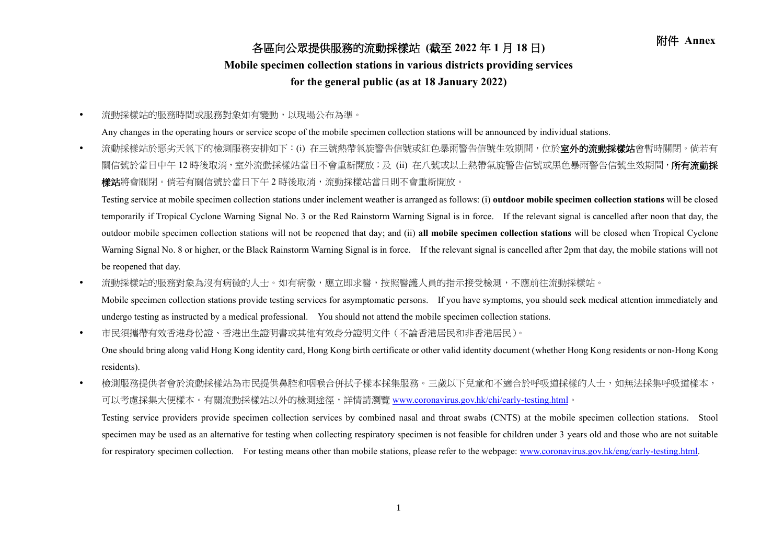## 附件 **Annex** 各區向公眾提供服務的流動採樣站 **(**截至 **<sup>2022</sup>** <sup>年</sup> **<sup>1</sup>** <sup>月</sup> **<sup>18</sup>** <sup>日</sup>**)**

## **Mobile specimen collection stations in various districts providing services**

## **for the general public (as at 18 January 2022)**

流動採樣站的服務時間或服務對象如有變動,以現場公布為準。

Any changes in the operating hours or service scope of the mobile specimen collection stations will be announced by individual stations.

• 流動採樣站於惡劣天氣下的檢測服務安排如下:(i) 在三號熱帶氣旋警告信號或紅色暴雨警告信號生效期間,位於**室外的流動採樣站**會暫時關閉。倘若有 關信號於當日中午 12 時後取消,室外流動採樣站當日不會重新開放;及 (ii) 在八號或以上熱帶氣旋警告信號或黑色暴雨警告信號生效期間,**所有流動採** 樣站將會關閉。倘若有關信號於當日下午 2 時後取消,流動採樣站當日則不會重新開放。

Testing service at mobile specimen collection stations under inclement weather is arranged as follows: (i) **outdoor mobile specimen collection stations** will be closed temporarily if Tropical Cyclone Warning Signal No. 3 or the Red Rainstorm Warning Signal is in force. If the relevant signal is cancelled after noon that day, the outdoor mobile specimen collection stations will not be reopened that day; and (ii) **all mobile specimen collection stations** will be closed when Tropical Cyclone Warning Signal No. 8 or higher, or the Black Rainstorm Warning Signal is in force. If the relevant signal is cancelled after 2pm that day, the mobile stations will not be reopened that day.

• 流動採樣站的服務對象為沒有病徵的人士。如有病徵,應立即求醫,按照醫護人員的指示接受檢測,不應前往流動採樣站。

Mobile specimen collection stations provide testing services for asymptomatic persons. If you have symptoms, you should seek medical attention immediately and undergo testing as instructed by a medical professional. You should not attend the mobile specimen collection stations.

市民須攜帶有效香港身份證、香港出生證明書或其他有效身分證明文件(不論香港居民和非香港居民)。

One should bring along valid Hong Kong identity card, Hong Kong birth certificate or other valid identity document (whether Hong Kong residents or non-Hong Kong residents).

• 檢測服務提供者會於流動採樣站為市民提供鼻腔和咽喉合併拭子樣本採集服務。三歲以下兒童和不適合於呼吸道採樣的人士,如無法採集呼吸道樣本, 可以考慮採集大便樣本。有關流動採樣站以外的檢測途徑,詳情請瀏覽 [www.coronavirus.gov.hk/chi/early-testing.html](http://www.coronavirus.gov.hk/chi/early-testing.html)。

Testing service providers provide specimen collection services by combined nasal and throat swabs (CNTS) at the mobile specimen collection stations. Stool specimen may be used as an alternative for testing when collecting respiratory specimen is not feasible for children under 3 years old and those who are not suitable for respiratory specimen collection. For testing means other than mobile stations, please refer to the webpage: [www.coronavirus.gov.hk/eng/early-testing.html.](http://www.coronavirus.gov.hk/eng/early-testing.html)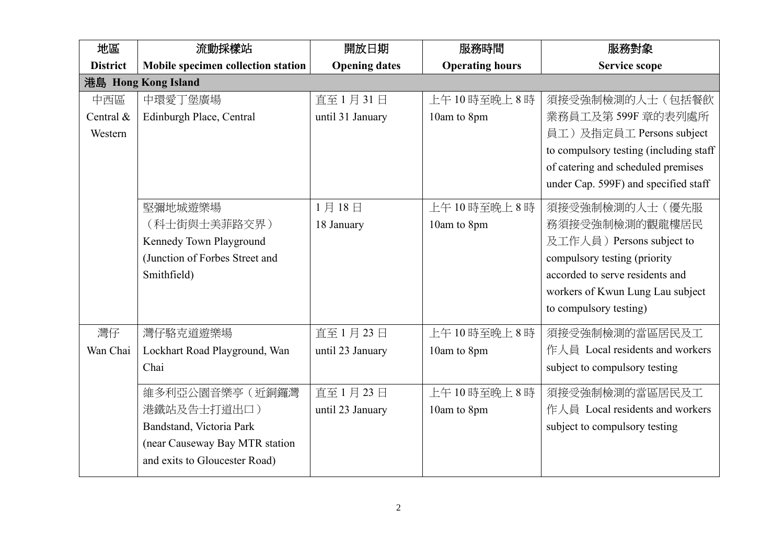| 地區              | 流動採樣站                              | 開放日期                 | 服務時間                   | 服務對象                                   |
|-----------------|------------------------------------|----------------------|------------------------|----------------------------------------|
| <b>District</b> | Mobile specimen collection station | <b>Opening dates</b> | <b>Operating hours</b> | <b>Service scope</b>                   |
|                 | 港島 Hong Kong Island                |                      |                        |                                        |
| 中西區             | 中環愛丁堡廣場                            | 直至1月31日              | 上午10時至晚上8時             | 須接受強制檢測的人士(包括餐飲                        |
| Central &       | Edinburgh Place, Central           | until 31 January     | 10am to 8pm            | 業務員工及第599F 章的表列處所                      |
| Western         |                                    |                      |                        | 員工)及指定員工 Persons subject               |
|                 |                                    |                      |                        | to compulsory testing (including staff |
|                 |                                    |                      |                        | of catering and scheduled premises     |
|                 |                                    |                      |                        | under Cap. 599F) and specified staff   |
|                 | 堅彌地城遊樂場                            | 1月18日                | 上午10時至晚上8時             | 須接受強制檢測的人士(優先服                         |
|                 | (科士街與士美菲路交界)                       | 18 January           | 10am to 8pm            | 務須接受強制檢測的觀龍樓居民                         |
|                 | Kennedy Town Playground            |                      |                        | 及工作人員) Persons subject to              |
|                 | (Junction of Forbes Street and     |                      |                        | compulsory testing (priority           |
|                 | Smithfield)                        |                      |                        | accorded to serve residents and        |
|                 |                                    |                      |                        | workers of Kwun Lung Lau subject       |
|                 |                                    |                      |                        | to compulsory testing)                 |
| 灣仔              | 灣仔駱克道遊樂場                           | 直至1月23日              | 上午10時至晚上8時             | 須接受強制檢測的當區居民及工                         |
| Wan Chai        | Lockhart Road Playground, Wan      | until 23 January     | 10am to 8pm            | 作人員 Local residents and workers        |
|                 | Chai                               |                      |                        | subject to compulsory testing          |
|                 | 維多利亞公園音樂亭(近銅鑼灣                     | 直至1月23日              | 上午10時至晚上8時             | 須接受強制檢測的當區居民及工                         |
|                 | 港鐵站及告士打道出口)                        | until 23 January     | 10am to 8pm            | 作人員 Local residents and workers        |
|                 | Bandstand, Victoria Park           |                      |                        | subject to compulsory testing          |
|                 | (near Causeway Bay MTR station     |                      |                        |                                        |
|                 | and exits to Gloucester Road)      |                      |                        |                                        |
|                 |                                    |                      |                        |                                        |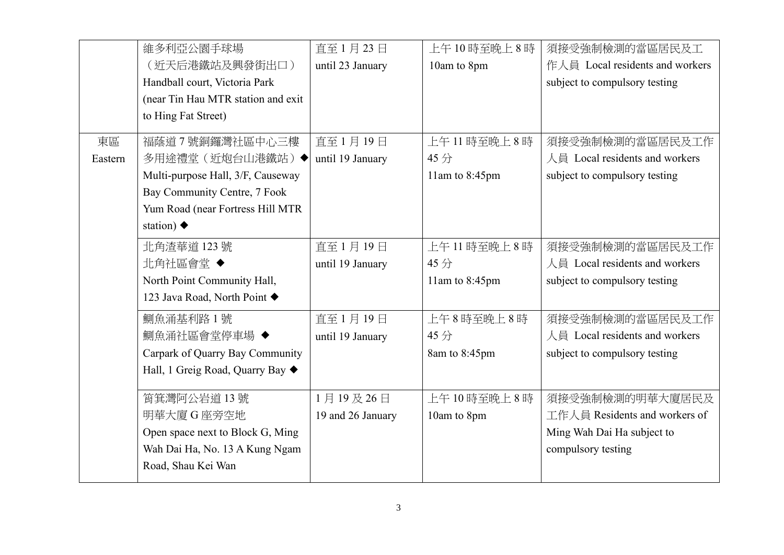|         | 維多利亞公園手球場                          | 直至1月23日           | 上午10時至晚上8時     | 須接受強制檢測的當區居民及工                  |
|---------|------------------------------------|-------------------|----------------|---------------------------------|
|         | (近天后港鐵站及興發街出口)                     | until 23 January  | 10am to 8pm    | 作人員 Local residents and workers |
|         | Handball court, Victoria Park      |                   |                | subject to compulsory testing   |
|         | (near Tin Hau MTR station and exit |                   |                |                                 |
|         | to Hing Fat Street)                |                   |                |                                 |
| 東區      | 福蔭道7號銅鑼灣社區中心三樓                     | 直至1月19日           | 上午11時至晚上8時     | 須接受強制檢測的當區居民及工作                 |
| Eastern | 多用途禮堂(近炮台山港鐵站)◆                    | until 19 January  | 45分            | 人員 Local residents and workers  |
|         | Multi-purpose Hall, 3/F, Causeway  |                   | 11am to 8:45pm | subject to compulsory testing   |
|         | Bay Community Centre, 7 Fook       |                   |                |                                 |
|         | Yum Road (near Fortress Hill MTR   |                   |                |                                 |
|         | station) $\blacklozenge$           |                   |                |                                 |
|         | 北角渣華道 123號                         | 直至1月19日           | 上午11時至晚上8時     | 須接受強制檢測的當區居民及工作                 |
|         | 北角社區會堂◆                            | until 19 January  | 45分            | 人員 Local residents and workers  |
|         | North Point Community Hall,        |                   | 11am to 8:45pm | subject to compulsory testing   |
|         | 123 Java Road, North Point ♦       |                   |                |                                 |
|         | 鰂魚涌基利路1號                           | 直至1月19日           | 上午8時至晚上8時      | 須接受強制檢測的當區居民及工作                 |
|         | 鰂魚涌社區會堂停車場 ◆                       | until 19 January  | 45分            | 人員 Local residents and workers  |
|         | Carpark of Quarry Bay Community    |                   | 8am to 8:45pm  | subject to compulsory testing   |
|         | Hall, 1 Greig Road, Quarry Bay ◆   |                   |                |                                 |
|         | 筲箕灣阿公岩道13號                         | 1月19及26日          | 上午10時至晚上8時     | 須接受強制檢測的明華大廈居民及                 |
|         | 明華大廈 G 座旁空地                        | 19 and 26 January | 10am to 8pm    | 工作人員 Residents and workers of   |
|         | Open space next to Block G, Ming   |                   |                | Ming Wah Dai Ha subject to      |
|         | Wah Dai Ha, No. 13 A Kung Ngam     |                   |                | compulsory testing              |
|         | Road, Shau Kei Wan                 |                   |                |                                 |
|         |                                    |                   |                |                                 |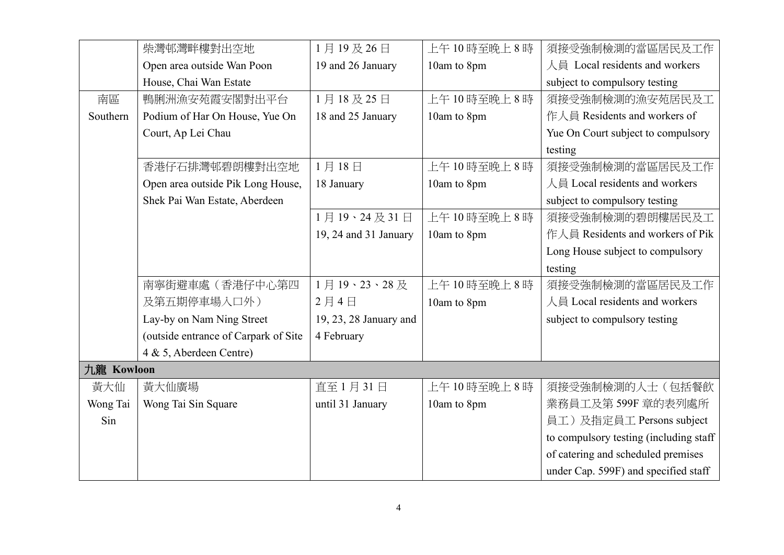|            | 柴灣邨灣畔樓對出空地                           | 1月19及26日               | 上午10時至晚上8時  | 須接受強制檢測的當區居民及工作                        |
|------------|--------------------------------------|------------------------|-------------|----------------------------------------|
|            | Open area outside Wan Poon           | 19 and 26 January      | 10am to 8pm | 人員 Local residents and workers         |
|            | House, Chai Wan Estate               |                        |             | subject to compulsory testing          |
| 南區         | 鴨脷洲漁安苑霞安閣對出平台                        | 1月18及25日               | 上午10時至晚上8時  | 須接受強制檢測的漁安苑居民及工                        |
| Southern   | Podium of Har On House, Yue On       | 18 and 25 January      | 10am to 8pm | 作人員 Residents and workers of           |
|            | Court, Ap Lei Chau                   |                        |             | Yue On Court subject to compulsory     |
|            |                                      |                        |             | testing                                |
|            | 香港仔石排灣邨碧朗樓對出空地                       | 1月18日                  | 上午10時至晚上8時  | 須接受強制檢測的當區居民及工作                        |
|            | Open area outside Pik Long House,    | 18 January             | 10am to 8pm | 人員 Local residents and workers         |
|            | Shek Pai Wan Estate, Aberdeen        |                        |             | subject to compulsory testing          |
|            |                                      | 1月19、24及31日            | 上午10時至晚上8時  | 須接受強制檢測的碧朗樓居民及工                        |
|            |                                      | 19, 24 and 31 January  | 10am to 8pm | 作人員 Residents and workers of Pik       |
|            |                                      |                        |             | Long House subject to compulsory       |
|            |                                      |                        |             | testing                                |
|            | 南寧街避車處(香港仔中心第四                       | 1月19、23、28及            | 上午10時至晚上8時  | 須接受強制檢測的當區居民及工作                        |
|            | 及第五期停車場入口外)                          | 2月4日                   | 10am to 8pm | 人員 Local residents and workers         |
|            | Lay-by on Nam Ning Street            | 19, 23, 28 January and |             | subject to compulsory testing          |
|            | (outside entrance of Carpark of Site | 4 February             |             |                                        |
|            | 4 & 5, Aberdeen Centre)              |                        |             |                                        |
| 九龍 Kowloon |                                      |                        |             |                                        |
| 黃大仙        | 黃大仙廣場                                | 直至1月31日                | 上午10時至晚上8時  | 須接受強制檢測的人士(包括餐飲                        |
| Wong Tai   | Wong Tai Sin Square                  | until 31 January       | 10am to 8pm | 業務員工及第599F 章的表列處所                      |
| Sin        |                                      |                        |             | 員工)及指定員工 Persons subject               |
|            |                                      |                        |             | to compulsory testing (including staff |
|            |                                      |                        |             | of catering and scheduled premises     |
|            |                                      |                        |             | under Cap. 599F) and specified staff   |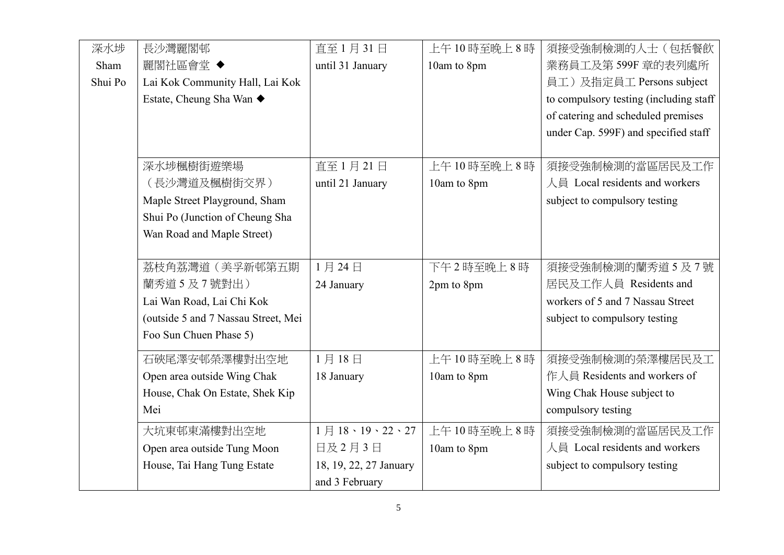| 深水埗     | 長沙灣麗閣邨                              | 直至1月31日                | 上午10時至晚上8時  | 須接受強制檢測的人士(包括餐飲                        |
|---------|-------------------------------------|------------------------|-------------|----------------------------------------|
| Sham    | 麗閣社區會堂 ◆                            | until 31 January       | 10am to 8pm | 業務員工及第599F 章的表列處所                      |
| Shui Po | Lai Kok Community Hall, Lai Kok     |                        |             | 員工)及指定員工 Persons subject               |
|         | Estate, Cheung Sha Wan ◆            |                        |             | to compulsory testing (including staff |
|         |                                     |                        |             | of catering and scheduled premises     |
|         |                                     |                        |             | under Cap. 599F) and specified staff   |
|         |                                     |                        |             |                                        |
|         | 深水埗楓樹街遊樂場                           | 直至1月21日                | 上午10時至晚上8時  | 須接受強制檢測的當區居民及工作                        |
|         | (長沙灣道及楓樹街交界)                        | until 21 January       | 10am to 8pm | 人員 Local residents and workers         |
|         | Maple Street Playground, Sham       |                        |             | subject to compulsory testing          |
|         | Shui Po (Junction of Cheung Sha     |                        |             |                                        |
|         | Wan Road and Maple Street)          |                        |             |                                        |
|         |                                     |                        |             |                                        |
|         | 荔枝角荔灣道(美孚新邨第五期                      | 1月24日                  | 下午2時至晚上8時   | 須接受強制檢測的蘭秀道5及7號                        |
|         | 蘭秀道5及7號對出)                          | 24 January             | 2pm to 8pm  | 居民及工作人員 Residents and                  |
|         | Lai Wan Road, Lai Chi Kok           |                        |             | workers of 5 and 7 Nassau Street       |
|         | (outside 5 and 7 Nassau Street, Mei |                        |             | subject to compulsory testing          |
|         | Foo Sun Chuen Phase 5)              |                        |             |                                        |
|         | 石硤尾澤安邨榮澤樓對出空地                       | 1月18日                  | 上午10時至晚上8時  | 須接受強制檢測的榮澤樓居民及工                        |
|         | Open area outside Wing Chak         | 18 January             | 10am to 8pm | 作人員 Residents and workers of           |
|         | House, Chak On Estate, Shek Kip     |                        |             | Wing Chak House subject to             |
|         | Mei                                 |                        |             | compulsory testing                     |
|         | 大坑東邨東滿樓對出空地                         | 1月18、19、22、27          | 上午10時至晚上8時  | 須接受強制檢測的當區居民及工作                        |
|         | Open area outside Tung Moon         | 日及2月3日                 | 10am to 8pm | 人員 Local residents and workers         |
|         | House, Tai Hang Tung Estate         | 18, 19, 22, 27 January |             | subject to compulsory testing          |
|         |                                     | and 3 February         |             |                                        |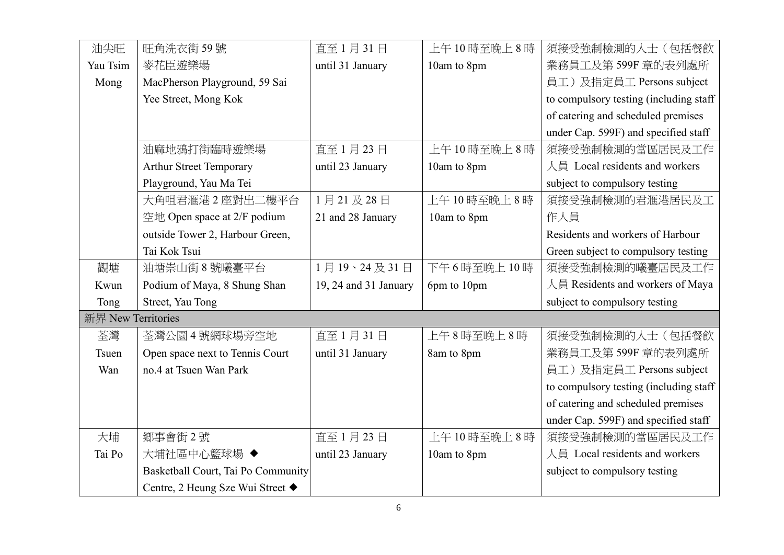| 油尖旺                | 旺角洗衣街59號                           | 直至1月31日               | 上午10時至晚上8時  | 須接受強制檢測的人士(包括餐飲                        |
|--------------------|------------------------------------|-----------------------|-------------|----------------------------------------|
| Yau Tsim           | 麥花臣遊樂場                             | until 31 January      | 10am to 8pm | 業務員工及第599F 章的表列處所                      |
| Mong               | MacPherson Playground, 59 Sai      |                       |             | 員工)及指定員工 Persons subject               |
|                    | Yee Street, Mong Kok               |                       |             | to compulsory testing (including staff |
|                    |                                    |                       |             | of catering and scheduled premises     |
|                    |                                    |                       |             | under Cap. 599F) and specified staff   |
|                    | 油麻地鴉打街臨時遊樂場                        | 直至1月23日               | 上午10時至晚上8時  | 須接受強制檢測的當區居民及工作                        |
|                    | <b>Arthur Street Temporary</b>     | until 23 January      | 10am to 8pm | 人員 Local residents and workers         |
|                    | Playground, Yau Ma Tei             |                       |             | subject to compulsory testing          |
|                    | 大角咀君滙港2座對出二樓平台                     | 1月21及28日              | 上午10時至晚上8時  | 須接受強制檢測的君滙港居民及工                        |
|                    | 空地 Open space at 2/F podium        | 21 and 28 January     | 10am to 8pm | 作人員                                    |
|                    | outside Tower 2, Harbour Green,    |                       |             | Residents and workers of Harbour       |
|                    | Tai Kok Tsui                       |                       |             | Green subject to compulsory testing    |
| 觀塘                 | 油塘崇山街 8號曦臺平台                       | 1月19、24及31日           | 下午6時至晚上10時  | 須接受強制檢測的曦臺居民及工作                        |
| Kwun               | Podium of Maya, 8 Shung Shan       | 19, 24 and 31 January | 6pm to 10pm | 人員 Residents and workers of Maya       |
| Tong               | Street, Yau Tong                   |                       |             | subject to compulsory testing          |
| 新界 New Territories |                                    |                       |             |                                        |
| 荃灣                 | 荃灣公園4號網球場旁空地                       | 直至1月31日               | 上午8時至晚上8時   | 須接受強制檢測的人士(包括餐飲                        |
| Tsuen              | Open space next to Tennis Court    | until 31 January      | 8am to 8pm  | 業務員工及第599F 章的表列處所                      |
| Wan                | no.4 at Tsuen Wan Park             |                       |             | 員工)及指定員工 Persons subject               |
|                    |                                    |                       |             | to compulsory testing (including staff |
|                    |                                    |                       |             | of catering and scheduled premises     |
|                    |                                    |                       |             | under Cap. 599F) and specified staff   |
| 大埔                 | 鄉事會街2號                             | 直至1月23日               | 上午10時至晚上8時  | 須接受強制檢測的當區居民及工作                        |
| Tai Po             | 大埔社區中心籃球場 ◆                        | until 23 January      | 10am to 8pm | 人員 Local residents and workers         |
|                    | Basketball Court, Tai Po Community |                       |             | subject to compulsory testing          |
|                    | Centre, 2 Heung Sze Wui Street ◆   |                       |             |                                        |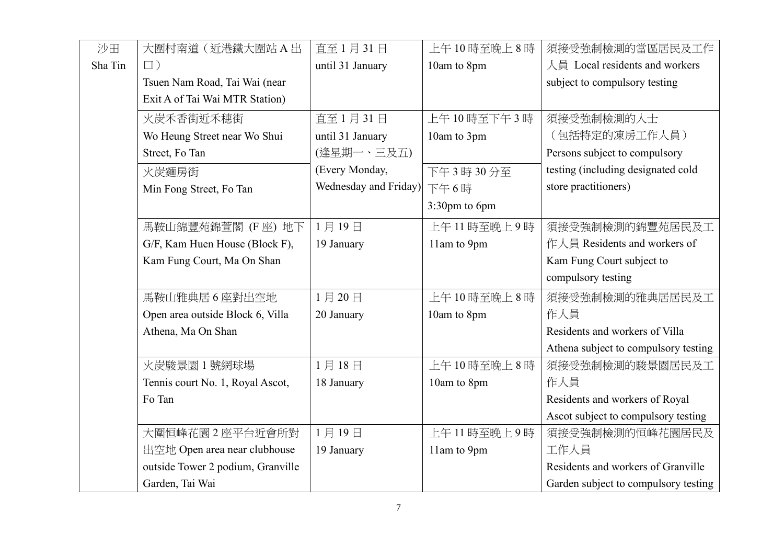| 沙田      | 大圍村南道(近港鐵大圍站A出                    | 直至1月31日               | 上午10時至晚上8時    | 須接受強制檢測的當區居民及工作                      |
|---------|-----------------------------------|-----------------------|---------------|--------------------------------------|
| Sha Tin | $\Box$ )                          | until 31 January      | 10am to 8pm   | 人員 Local residents and workers       |
|         | Tsuen Nam Road, Tai Wai (near     |                       |               | subject to compulsory testing        |
|         | Exit A of Tai Wai MTR Station)    |                       |               |                                      |
|         | 火炭禾香街近禾穗街                         | 直至1月31日               | 上午10時至下午3時    | 須接受強制檢測的人士                           |
|         | Wo Heung Street near Wo Shui      | until 31 January      | 10am to 3pm   | (包括特定的凍房工作人員)                        |
|         | Street, Fo Tan                    | (逢星期一、三及五)            |               | Persons subject to compulsory        |
|         | 火炭麵房街                             | (Every Monday,        | 下午3時30分至      | testing (including designated cold   |
|         | Min Fong Street, Fo Tan           | Wednesday and Friday) | 下午6時          | store practitioners)                 |
|         |                                   |                       | 3:30pm to 6pm |                                      |
|         | 馬鞍山錦豐苑錦萱閣 (F座) 地下                 | 1月19日                 | 上午11時至晚上9時    | 須接受強制檢測的錦豐苑居民及工                      |
|         | G/F, Kam Huen House (Block F),    | 19 January            | 11am to 9pm   | 作人員 Residents and workers of         |
|         | Kam Fung Court, Ma On Shan        |                       |               | Kam Fung Court subject to            |
|         |                                   |                       |               | compulsory testing                   |
|         | 馬鞍山雅典居6座對出空地                      | 1月20日                 | 上午10時至晚上8時    | 須接受強制檢測的雅典居居民及工                      |
|         | Open area outside Block 6, Villa  | 20 January            | 10am to 8pm   | 作人員                                  |
|         | Athena, Ma On Shan                |                       |               | Residents and workers of Villa       |
|         |                                   |                       |               | Athena subject to compulsory testing |
|         | 火炭駿景園 1號網球場                       | 1月18日                 | 上午10時至晚上8時    | 須接受強制檢測的駿景園居民及工                      |
|         | Tennis court No. 1, Royal Ascot,  | 18 January            | 10am to 8pm   | 作人員                                  |
|         | Fo Tan                            |                       |               | Residents and workers of Royal       |
|         |                                   |                       |               | Ascot subject to compulsory testing  |
|         | 大圍恒峰花園2座平台近會所對                    | 1月19日                 | 上午11時至晚上9時    | 須接受強制檢測的恒峰花園居民及                      |
|         | 出空地 Open area near clubhouse      | 19 January            | 11am to 9pm   | 工作人員                                 |
|         | outside Tower 2 podium, Granville |                       |               | Residents and workers of Granville   |
|         | Garden, Tai Wai                   |                       |               | Garden subject to compulsory testing |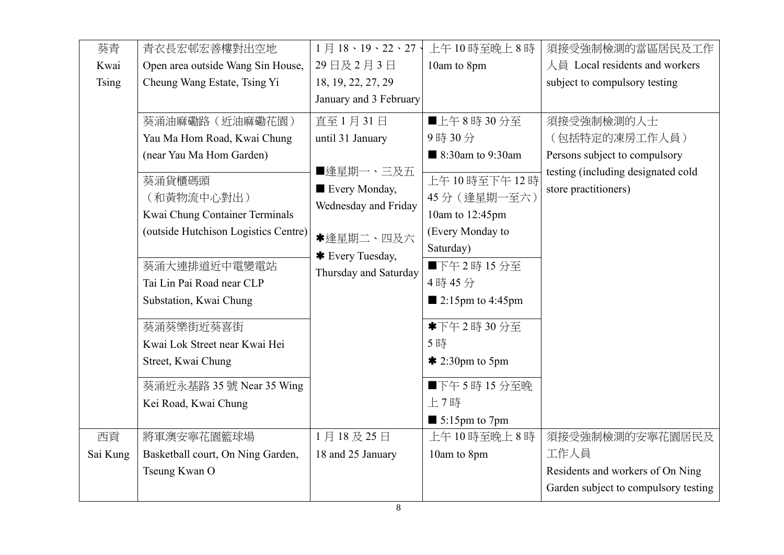| 葵青           | 青衣長宏邨宏善樓對出空地                                 | 1月18、19、22、27、             | 上午10時至晚上8時                      | 須接受強制檢測的當區居民及工作                                            |
|--------------|----------------------------------------------|----------------------------|---------------------------------|------------------------------------------------------------|
| Kwai         | Open area outside Wang Sin House,            | 29日及2月3日                   | 10am to 8pm                     | 人員 Local residents and workers                             |
| <b>Tsing</b> | Cheung Wang Estate, Tsing Yi                 | 18, 19, 22, 27, 29         |                                 | subject to compulsory testing                              |
|              |                                              | January and 3 February     |                                 |                                                            |
|              | 葵涌油麻磡路 (近油麻磡花園)                              | 直至1月31日                    | ■上午8時30分至                       | 須接受強制檢測的人士                                                 |
|              | Yau Ma Hom Road, Kwai Chung                  | until 31 January           | 9時30分                           | (包括特定的凍房工作人員)                                              |
|              | (near Yau Ma Hom Garden)                     |                            | ■ 8:30am to 9:30am              | Persons subject to compulsory                              |
|              | 葵涌貨櫃碼頭                                       | ■逢星期一、三及五<br>Every Monday, | 上午10時至下午12時                     | testing (including designated cold<br>store practitioners) |
|              | (和黃物流中心對出)<br>Kwai Chung Container Terminals | Wednesday and Friday       | 45分 (逢星期一至六)<br>10am to 12:45pm |                                                            |
|              | (outside Hutchison Logistics Centre)         |                            |                                 |                                                            |
|              |                                              | *逢星期二、四及六                  | (Every Monday to<br>Saturday)   |                                                            |
|              | 葵涌大連排道近中電變電站                                 | * Every Tuesday,           | ■下午2時15分至                       |                                                            |
|              | Tai Lin Pai Road near CLP                    | Thursday and Saturday      | 4時45分                           |                                                            |
|              | Substation, Kwai Chung                       |                            | $\blacksquare$ 2:15pm to 4:45pm |                                                            |
|              |                                              |                            |                                 |                                                            |
|              | 葵涌葵樂街近葵喜街                                    |                            | *下午2時30分至                       |                                                            |
|              | Kwai Lok Street near Kwai Hei                |                            | 5時                              |                                                            |
|              | Street, Kwai Chung                           |                            | $*$ 2:30pm to 5pm               |                                                            |
|              | 葵涌近永基路 35 號 Near 35 Wing                     |                            | ■下午5時15分至晚                      |                                                            |
|              | Kei Road, Kwai Chung                         |                            | 上7時                             |                                                            |
|              |                                              |                            | $\blacksquare$ 5:15pm to 7pm    |                                                            |
| 西貢           | 將軍澳安寧花園籃球場                                   | 1月18及25日                   | 上午10時至晚上8時                      | 須接受強制檢測的安寧花園居民及                                            |
| Sai Kung     | Basketball court, On Ning Garden,            | 18 and 25 January          | 10am to 8pm                     | 工作人員                                                       |
|              | Tseung Kwan O                                |                            |                                 | Residents and workers of On Ning                           |
|              |                                              |                            |                                 | Garden subject to compulsory testing                       |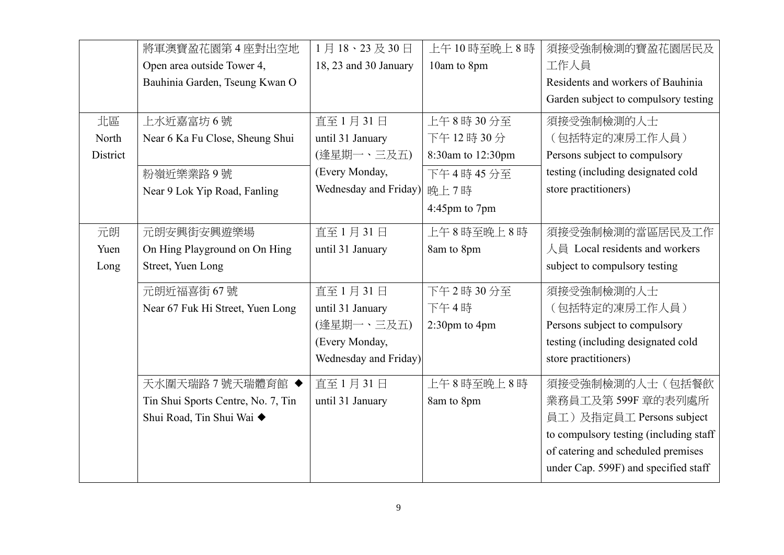|          | 將軍澳寶盈花園第4座對出空地                     | 1月18、23及30日           | 上午10時至晚上8時        | 須接受強制檢測的寶盈花園居民及                        |
|----------|------------------------------------|-----------------------|-------------------|----------------------------------------|
|          | Open area outside Tower 4,         | 18, 23 and 30 January | 10am to 8pm       | 工作人員                                   |
|          | Bauhinia Garden, Tseung Kwan O     |                       |                   | Residents and workers of Bauhinia      |
|          |                                    |                       |                   | Garden subject to compulsory testing   |
| 北區       | 上水近嘉富坊6號                           | 直至1月31日               | 上午8時30分至          | 須接受強制檢測的人士                             |
| North    | Near 6 Ka Fu Close, Sheung Shui    | until 31 January      | 下午12時30分          | (包括特定的凍房工作人員)                          |
| District |                                    | (逢星期一、三及五)            | 8:30am to 12:30pm | Persons subject to compulsory          |
|          | 粉嶺近樂業路9號                           | (Every Monday,        | 下午4時45分至          | testing (including designated cold     |
|          | Near 9 Lok Yip Road, Fanling       | Wednesday and Friday) | 晚上7時              | store practitioners)                   |
|          |                                    |                       | 4:45pm to 7pm     |                                        |
| 元朗       | 元朗安興街安興遊樂場                         | 直至1月31日               | 上午8時至晚上8時         | 須接受強制檢測的當區居民及工作                        |
| Yuen     | On Hing Playground on On Hing      | until 31 January      | 8am to 8pm        | 人員 Local residents and workers         |
| Long     | Street, Yuen Long                  |                       |                   | subject to compulsory testing          |
|          | 元朗近福喜街 67號                         | 直至1月31日               | 下午2時30分至          | 須接受強制檢測的人士                             |
|          | Near 67 Fuk Hi Street, Yuen Long   | until 31 January      | 下午4時              | (包括特定的凍房工作人員)                          |
|          |                                    | (逢星期一、三及五)            | $2:30$ pm to 4pm  | Persons subject to compulsory          |
|          |                                    | (Every Monday,        |                   | testing (including designated cold     |
|          |                                    | Wednesday and Friday) |                   | store practitioners)                   |
|          | 天水圍天瑞路7號天瑞體育館 ◆                    | 直至1月31日               | 上午8時至晚上8時         | 須接受強制檢測的人士(包括餐飲                        |
|          | Tin Shui Sports Centre, No. 7, Tin | until 31 January      | 8am to 8pm        | 業務員工及第599F 章的表列處所                      |
|          | Shui Road, Tin Shui Wai ◆          |                       |                   | 員工)及指定員工 Persons subject               |
|          |                                    |                       |                   | to compulsory testing (including staff |
|          |                                    |                       |                   | of catering and scheduled premises     |
|          |                                    |                       |                   | under Cap. 599F) and specified staff   |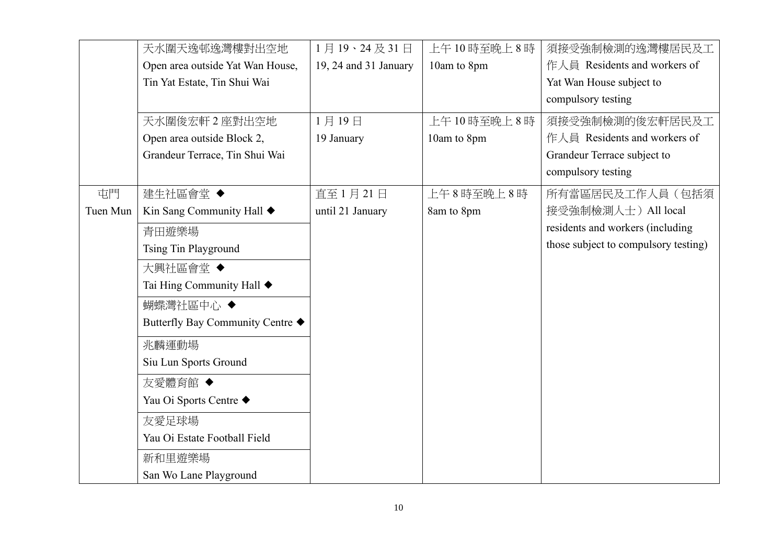|          | 天水圍天逸邨逸灣樓對出空地                    | 1月19、24及31日           | 上午10時至晚上8時  | 須接受強制檢測的逸灣樓居民及工                      |
|----------|----------------------------------|-----------------------|-------------|--------------------------------------|
|          | Open area outside Yat Wan House, | 19, 24 and 31 January | 10am to 8pm | 作人員 Residents and workers of         |
|          | Tin Yat Estate, Tin Shui Wai     |                       |             | Yat Wan House subject to             |
|          |                                  |                       |             | compulsory testing                   |
|          | 天水圍俊宏軒 2 座對出空地                   | 1月19日                 | 上午10時至晚上8時  | 須接受強制檢測的俊宏軒居民及工                      |
|          | Open area outside Block 2,       | 19 January            | 10am to 8pm | 作人員 Residents and workers of         |
|          | Grandeur Terrace, Tin Shui Wai   |                       |             | Grandeur Terrace subject to          |
|          |                                  |                       |             | compulsory testing                   |
| 屯門       | 建生社區會堂◆                          | 直至1月21日               | 上午8時至晚上8時   | 所有當區居民及工作人員(包括須                      |
| Tuen Mun | Kin Sang Community Hall ◆        | until 21 January      | 8am to 8pm  | 接受強制檢測人士) All local                  |
|          | 青田遊樂場                            |                       |             | residents and workers (including     |
|          | <b>Tsing Tin Playground</b>      |                       |             | those subject to compulsory testing) |
|          | 大興社區會堂◆                          |                       |             |                                      |
|          | Tai Hing Community Hall ◆        |                       |             |                                      |
|          | 蝴蝶灣社區中心 ◆                        |                       |             |                                      |
|          | Butterfly Bay Community Centre ◆ |                       |             |                                      |
|          | 兆麟運動場                            |                       |             |                                      |
|          | Siu Lun Sports Ground            |                       |             |                                      |
|          | 友愛體育館 ◆                          |                       |             |                                      |
|          | Yau Oi Sports Centre ◆           |                       |             |                                      |
|          | 友愛足球場                            |                       |             |                                      |
|          | Yau Oi Estate Football Field     |                       |             |                                      |
|          | 新和里遊樂場                           |                       |             |                                      |
|          | San Wo Lane Playground           |                       |             |                                      |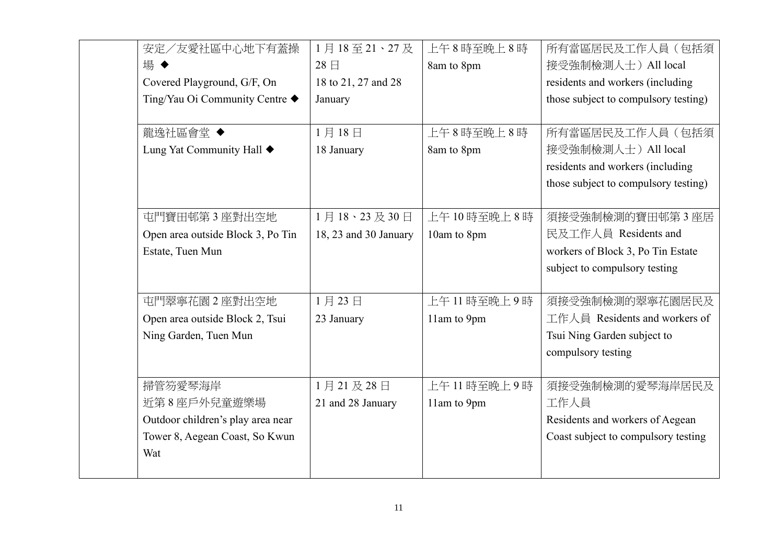| 安定/友愛社區中心地下有蓋操                    | 1月18至21、27及           | 上午8時至晚上8時   | 所有當區居民及工作人員(包括須                      |
|-----------------------------------|-----------------------|-------------|--------------------------------------|
| 場◆                                | 28日                   | 8am to 8pm  | 接受強制檢測人士) All local                  |
| Covered Playground, G/F, On       | 18 to 21, 27 and 28   |             | residents and workers (including     |
| Ting/Yau Oi Community Centre ◆    | January               |             | those subject to compulsory testing) |
|                                   |                       |             |                                      |
| 龍逸社區會堂 ◆                          | 1月18日                 | 上午8時至晚上8時   | 所有當區居民及工作人員(包括須                      |
| Lung Yat Community Hall ♦         | 18 January            | 8am to 8pm  | 接受強制檢測人士) All local                  |
|                                   |                       |             | residents and workers (including     |
|                                   |                       |             | those subject to compulsory testing) |
|                                   |                       |             |                                      |
| 屯門寶田邨第3座對出空地                      | 1月18、23及30日           | 上午10時至晚上8時  | 須接受強制檢測的寶田邨第3座居                      |
| Open area outside Block 3, Po Tin | 18, 23 and 30 January | 10am to 8pm | 民及工作人員 Residents and                 |
| Estate, Tuen Mun                  |                       |             | workers of Block 3, Po Tin Estate    |
|                                   |                       |             | subject to compulsory testing        |
|                                   |                       |             |                                      |
| 屯門翠寧花園2座對出空地                      | 1月23日                 | 上午11時至晚上9時  | 須接受強制檢測的翠寧花園居民及                      |
| Open area outside Block 2, Tsui   | 23 January            | 11am to 9pm | 工作人員 Residents and workers of        |
| Ning Garden, Tuen Mun             |                       |             | Tsui Ning Garden subject to          |
|                                   |                       |             | compulsory testing                   |
|                                   |                       |             |                                      |
| 掃管笏愛琴海岸                           | 1月21及28日              | 上午11時至晚上9時  | 須接受強制檢測的愛琴海岸居民及                      |
| 近第8座戶外兒童遊樂場                       | 21 and 28 January     | 11am to 9pm | 工作人員                                 |
| Outdoor children's play area near |                       |             | Residents and workers of Aegean      |
| Tower 8, Aegean Coast, So Kwun    |                       |             | Coast subject to compulsory testing  |
| Wat                               |                       |             |                                      |
|                                   |                       |             |                                      |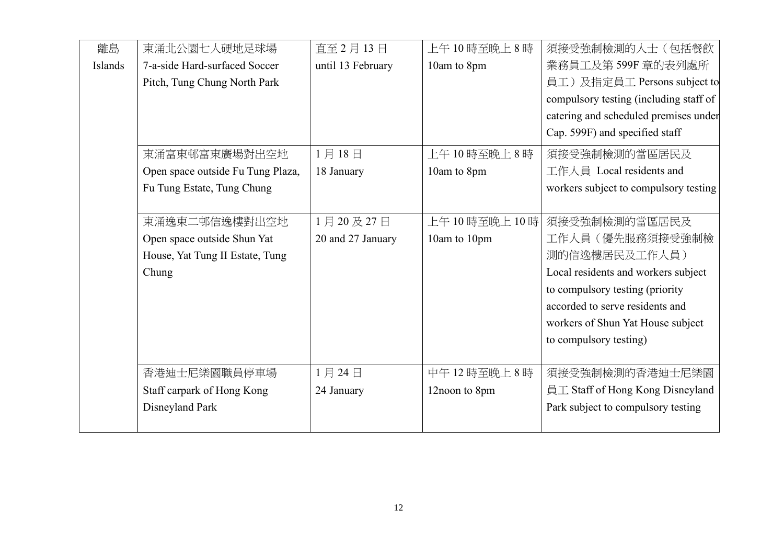| 離島      | 東涌北公園七人硬地足球場                      | 直至 2月13日          | 上午10時至晚上8時      | 須接受強制檢測的人士(包括餐飲                        |
|---------|-----------------------------------|-------------------|-----------------|----------------------------------------|
| Islands | 7-a-side Hard-surfaced Soccer     | until 13 February | 10am to 8pm     | 業務員工及第599F 章的表列處所                      |
|         | Pitch, Tung Chung North Park      |                   |                 | 員工)及指定員工 Persons subject to            |
|         |                                   |                   |                 | compulsory testing (including staff of |
|         |                                   |                   |                 | catering and scheduled premises under  |
|         |                                   |                   |                 | Cap. 599F) and specified staff         |
|         | 東涌富東邨富東廣場對出空地                     | 1月18日             | 上午10時至晚上8時      | 須接受強制檢測的當區居民及                          |
|         | Open space outside Fu Tung Plaza, | 18 January        | 10am to 8pm     | 工作人員 Local residents and               |
|         | Fu Tung Estate, Tung Chung        |                   |                 | workers subject to compulsory testing  |
|         |                                   |                   |                 |                                        |
|         | 東涌逸東二邨信逸樓對出空地                     | 1月20及27日          | 上午 10 時至晚上 10 時 | 須接受強制檢測的當區居民及                          |
|         | Open space outside Shun Yat       | 20 and 27 January | 10am to 10pm    | 工作人員(優先服務須接受強制檢                        |
|         | House, Yat Tung II Estate, Tung   |                   |                 | 測的信逸樓居民及工作人員)                          |
|         | Chung                             |                   |                 | Local residents and workers subject    |
|         |                                   |                   |                 | to compulsory testing (priority        |
|         |                                   |                   |                 | accorded to serve residents and        |
|         |                                   |                   |                 | workers of Shun Yat House subject      |
|         |                                   |                   |                 | to compulsory testing)                 |
|         |                                   |                   |                 |                                        |
|         | 香港迪士尼樂園職員停車場                      | 1月24日             | 中午12時至晚上8時      | 須接受強制檢測的香港迪士尼樂園                        |
|         | Staff carpark of Hong Kong        | 24 January        | 12noon to 8pm   | 員工 Staff of Hong Kong Disneyland       |
|         | Disneyland Park                   |                   |                 | Park subject to compulsory testing     |
|         |                                   |                   |                 |                                        |